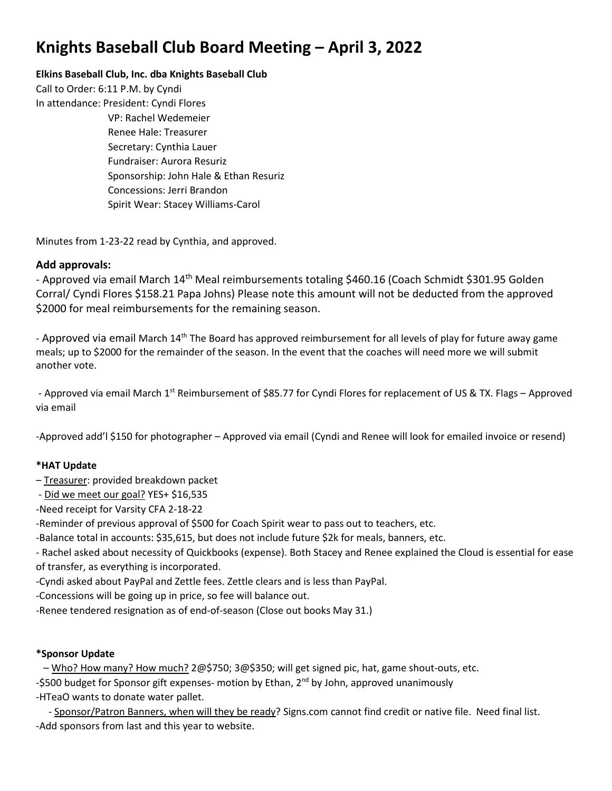# **Knights Baseball Club Board Meeting – April 3, 2022**

# **Elkins Baseball Club, Inc. dba Knights Baseball Club**

Call to Order: 6:11 P.M. by Cyndi In attendance: President: Cyndi Flores VP: Rachel Wedemeier Renee Hale: Treasurer Secretary: Cynthia Lauer Fundraiser: Aurora Resuriz Sponsorship: John Hale & Ethan Resuriz Concessions: Jerri Brandon Spirit Wear: Stacey Williams-Carol

Minutes from 1-23-22 read by Cynthia, and approved.

# **Add approvals:**

- Approved via email March 14<sup>th</sup> Meal reimbursements totaling \$460.16 (Coach Schmidt \$301.95 Golden Corral/ Cyndi Flores \$158.21 Papa Johns) Please note this amount will not be deducted from the approved \$2000 for meal reimbursements for the remaining season.

- Approved via email March 14<sup>th</sup> The Board has approved reimbursement for all levels of play for future away game meals; up to \$2000 for the remainder of the season. In the event that the coaches will need more we will submit another vote.

- Approved via email March 1<sup>st</sup> Reimbursement of \$85.77 for Cyndi Flores for replacement of US & TX. Flags – Approved via email

-Approved add'l \$150 for photographer – Approved via email (Cyndi and Renee will look for emailed invoice or resend)

# **\*HAT Update**

- Treasurer: provided breakdown packet
- Did we meet our goal? YES+ \$16,535
- -Need receipt for Varsity CFA 2-18-22
- -Reminder of previous approval of \$500 for Coach Spirit wear to pass out to teachers, etc.
- -Balance total in accounts: \$35,615, but does not include future \$2k for meals, banners, etc.
- Rachel asked about necessity of Quickbooks (expense). Both Stacey and Renee explained the Cloud is essential for ease of transfer, as everything is incorporated.
- -Cyndi asked about PayPal and Zettle fees. Zettle clears and is less than PayPal.
- -Concessions will be going up in price, so fee will balance out.
- -Renee tendered resignation as of end-of-season (Close out books May 31.)

# **\*Sponsor Update**

 – Who? How many? How much? 2@\$750; 3@\$350; will get signed pic, hat, game shout-outs, etc. -\$500 budget for Sponsor gift expenses- motion by Ethan, 2<sup>nd</sup> by John, approved unanimously -HTeaO wants to donate water pallet.

- Sponsor/Patron Banners, when will they be ready? Signs.com cannot find credit or native file. Need final list. -Add sponsors from last and this year to website.